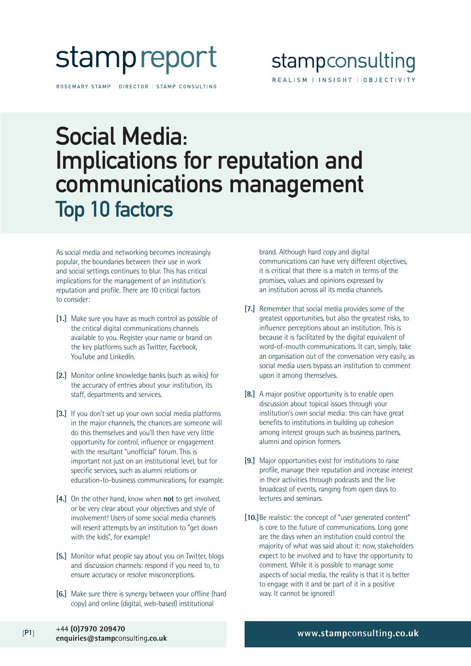## stamp report

ROSEMARY STAMP | DIRECTOR | STAMP CONSULTING

#### stampconsulting REALISM | INSIGHT | OBJECTIVITY

### Social Media: Implications for reputation and communications management Top 10 factors

As social media and networking becomes increasingly popular, the boundaries between their use in work and social settings continues to blur. This has critical implications for the management of an institution's reputation and profile. There are 10 critical factors to consider:

- **[1.]** Make sure you have as much control as possible of the critical digital communications channels available to you. Register your name or brand on the key platforms such as Twitter, Facebook, YouTube and LinkedIn.
- **[2.]** Monitor online knowledge banks (such as wikis) for the accuracy of entries about your institution, its staff, departments and services.
- **[3.]** If you don't set up your own social media platforms in the major channels, the chances are someone will do this themselves and you'll then have very little opportunity for control, influence or engagement with the resultant "unofficial" forum. This is important not just on an institutional level, but for specific services, such as alumni relations or education-to-business communications, for example.
- **[4.]** On the other hand, know when **not** to get involved, or be very clear about your objectives and style of involvement! Users of some social media channels will resent attempts by an institution to "get down with the kids", for example!
- **[5.]** Monitor what people say about you on Twitter, blogs and discussion channels: respond if you need to, to ensure accuracy or resolve misconceptions.
- **[6.]** Make sure there is synergy between your offline (hard copy) and online (digital, web-based) institutional

brand. Although hard copy and digital communications can have very different objectives, it is critical that there is a match in terms of the promises, values and opinions expressed by an institution across all its media channels.

- **[7.]** Remember that social media provides some of the greatest opportunities, but also the greatest risks, to influence perceptions about an institution. This is because it is facilitated by the digital equivalent of word-of-mouth communications. It can, simply, take an organisation out of the conversation very easily, as social media users bypass an institution to comment upon it among themselves.
- **[8.]** A major positive opportunity is to enable open discussion about topical issues through your institution's own social media: this can have great benefits to institutions in building up cohesion among interest groups such as business partners, alumni and opinion formers.
- **[9.]** Major opportunities exist for institutions to raise profile, manage their reputation and increase interest in their activities through podcasts and the live broadcast of events, ranging from open days to lectures and seminars.
- **[10.]**Be realistic: the concept of "user generated content" is core to the future of communications. Long gone are the days when an institution could control the majority of what was said about it: now, stakeholders expect to be involved and to have the opportunity to comment. While it is possible to manage some aspects of social media, the reality is that it is better to engage with it and be part of it in a positive way. It cannot be ignored!